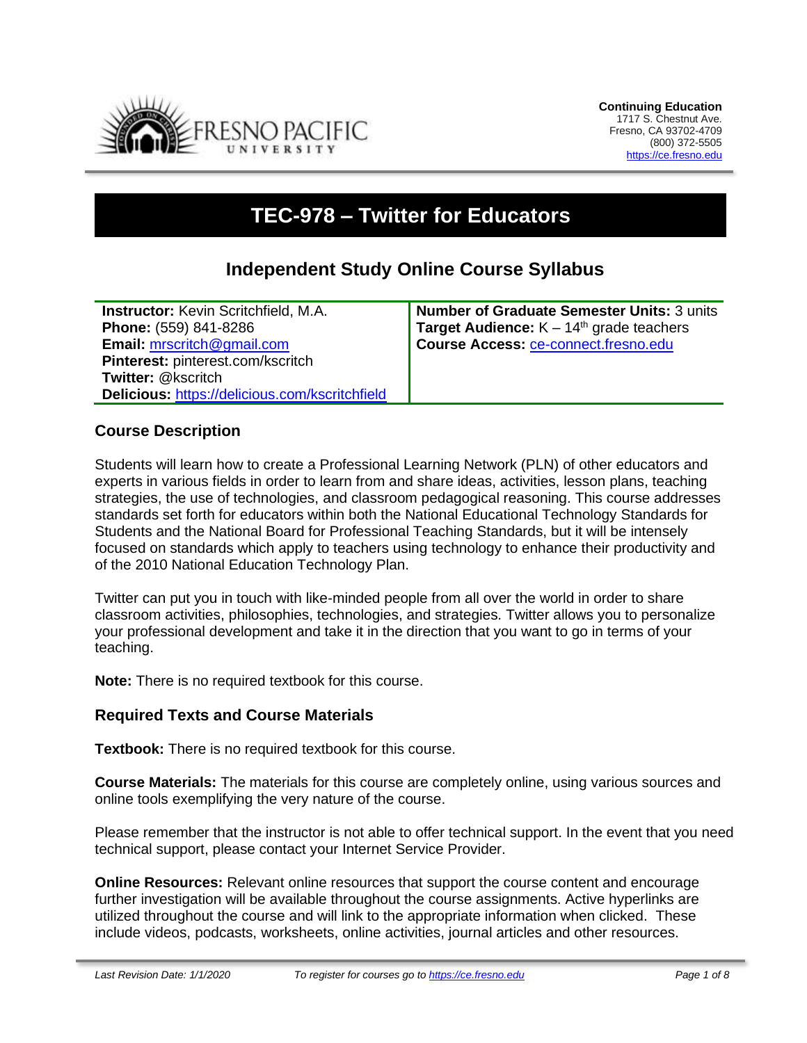

# **TEC-978 – Twitter for Educators**

# **Independent Study Online Course Syllabus**

**Instructor:** Kevin Scritchfield, M.A. **Phone:** (559) 841-8286 **Email:** [mrscritch@gmail.com](mailto:mrscritch@gmail.com) **Pinterest:** pinterest.com/kscritch **Twitter:** @kscritch **Delicious:** <https://delicious.com/kscritchfield> **Number of Graduate Semester Units:** 3 units **Target Audience:** K – 14<sup>th</sup> grade teachers **Course Access:** [ce-connect.fresno.edu](https://ce-connect.fresno.edu/)

#### **Course Description**

Students will learn how to create a Professional Learning Network (PLN) of other educators and experts in various fields in order to learn from and share ideas, activities, lesson plans, teaching strategies, the use of technologies, and classroom pedagogical reasoning. This course addresses standards set forth for educators within both the National Educational Technology Standards for Students and the National Board for Professional Teaching Standards, but it will be intensely focused on standards which apply to teachers using technology to enhance their productivity and of the 2010 National Education Technology Plan.

Twitter can put you in touch with like-minded people from all over the world in order to share classroom activities, philosophies, technologies, and strategies. Twitter allows you to personalize your professional development and take it in the direction that you want to go in terms of your teaching.

**Note:** There is no required textbook for this course.

#### **Required Texts and Course Materials**

**Textbook:** There is no required textbook for this course.

**Course Materials:** The materials for this course are completely online, using various sources and online tools exemplifying the very nature of the course.

Please remember that the instructor is not able to offer technical support. In the event that you need technical support, please contact your Internet Service Provider.

**Online Resources:** Relevant online resources that support the course content and encourage further investigation will be available throughout the course assignments. Active hyperlinks are utilized throughout the course and will link to the appropriate information when clicked. These include videos, podcasts, worksheets, online activities, journal articles and other resources.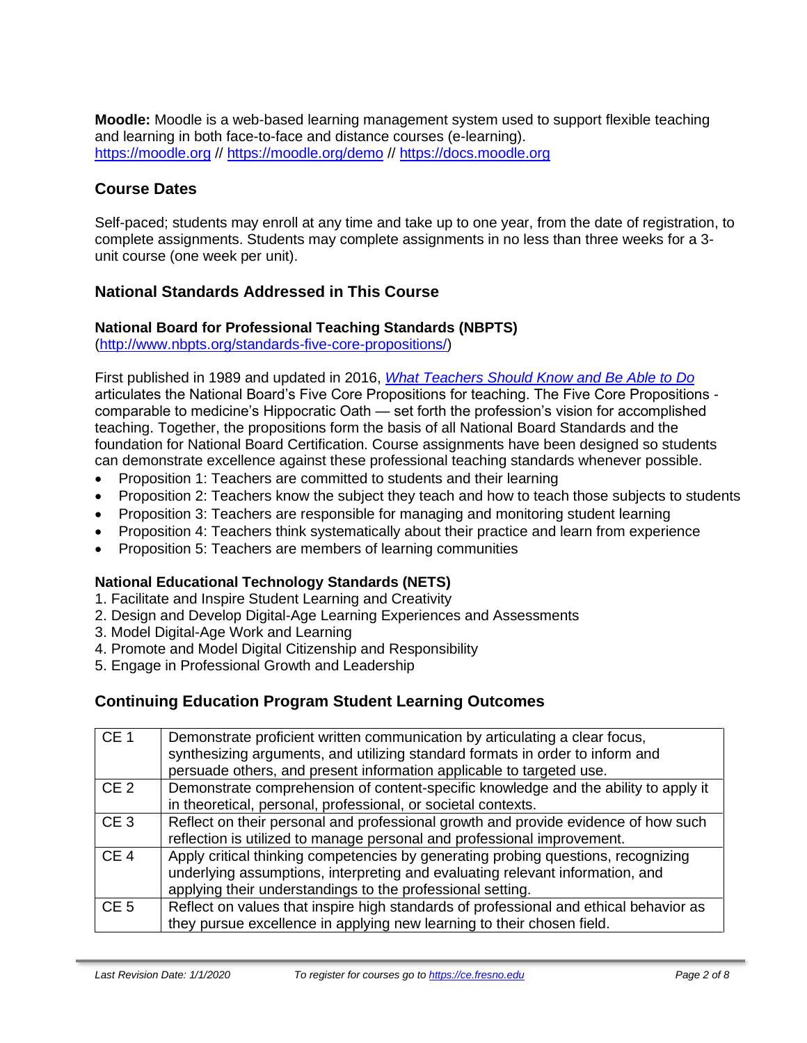**Moodle:** Moodle is a web-based learning management system used to support flexible teaching and learning in both face-to-face and distance courses (e-learning). [https://moodle.org](https://moodle.org/) // <https://moodle.org/demo> // [https://docs.moodle.org](https://docs.moodle.org/)

# **Course Dates**

Self-paced; students may enroll at any time and take up to one year, from the date of registration, to complete assignments. Students may complete assignments in no less than three weeks for a 3 unit course (one week per unit).

# **National Standards Addressed in This Course**

#### **National Board for Professional Teaching Standards (NBPTS)**

[\(http://www.nbpts.org/standards-five-core-propositions/\)](http://www.nbpts.org/standards-five-core-propositions/)

First published in 1989 and updated in 2016, *[What Teachers Should Know and Be Able to Do](http://www.accomplishedteacher.org/)* articulates the National Board's Five Core Propositions for teaching. The Five Core Propositions comparable to medicine's Hippocratic Oath — set forth the profession's vision for accomplished teaching. Together, the propositions form the basis of all National Board Standards and the foundation for National Board Certification. Course assignments have been designed so students can demonstrate excellence against these professional teaching standards whenever possible.

- Proposition 1: Teachers are committed to students and their learning
- Proposition 2: Teachers know the subject they teach and how to teach those subjects to students
- Proposition 3: Teachers are responsible for managing and monitoring student learning
- Proposition 4: Teachers think systematically about their practice and learn from experience
- Proposition 5: Teachers are members of learning communities

# **National Educational Technology Standards (NETS)**

- 1. Facilitate and Inspire Student Learning and Creativity
- 2. Design and Develop Digital-Age Learning Experiences and Assessments
- 3. Model Digital-Age Work and Learning
- 4. Promote and Model Digital Citizenship and Responsibility
- 5. Engage in Professional Growth and Leadership

# **Continuing Education Program Student Learning Outcomes**

| CE <sub>1</sub> | Demonstrate proficient written communication by articulating a clear focus,<br>synthesizing arguments, and utilizing standard formats in order to inform and<br>persuade others, and present information applicable to targeted use. |
|-----------------|--------------------------------------------------------------------------------------------------------------------------------------------------------------------------------------------------------------------------------------|
| CE <sub>2</sub> | Demonstrate comprehension of content-specific knowledge and the ability to apply it<br>in theoretical, personal, professional, or societal contexts.                                                                                 |
| CE <sub>3</sub> | Reflect on their personal and professional growth and provide evidence of how such<br>reflection is utilized to manage personal and professional improvement.                                                                        |
| CE <sub>4</sub> | Apply critical thinking competencies by generating probing questions, recognizing<br>underlying assumptions, interpreting and evaluating relevant information, and<br>applying their understandings to the professional setting.     |
| CE <sub>5</sub> | Reflect on values that inspire high standards of professional and ethical behavior as<br>they pursue excellence in applying new learning to their chosen field.                                                                      |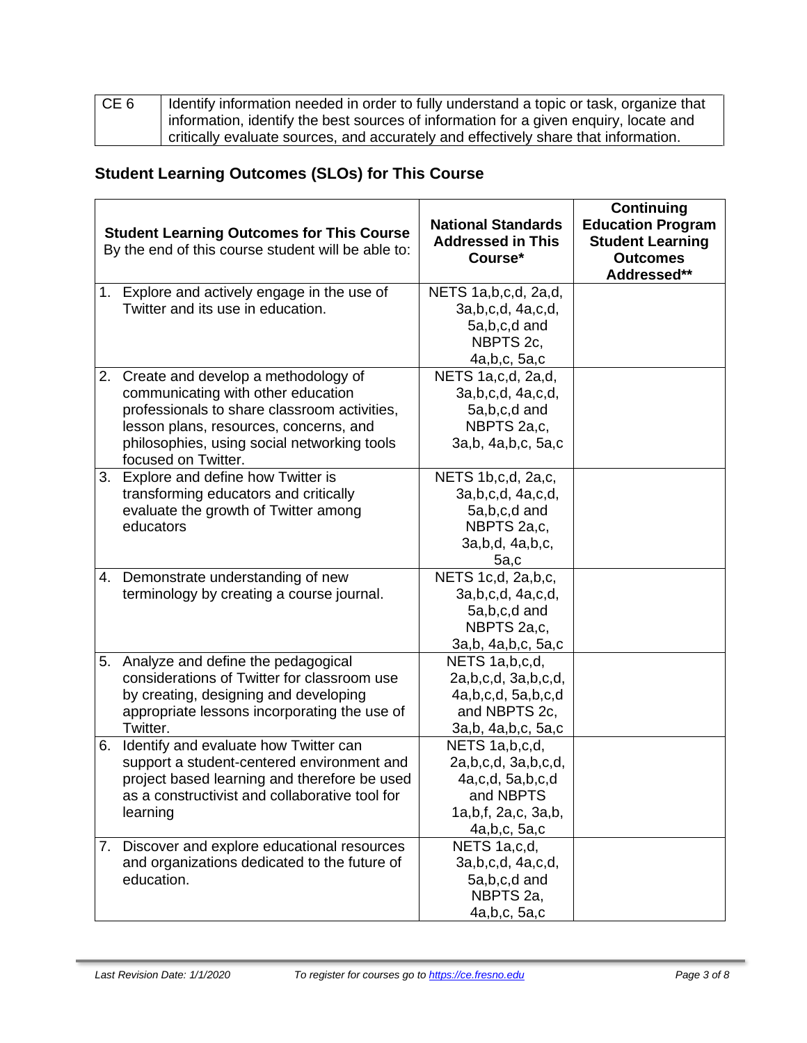| CE <sub>6</sub> | Identify information needed in order to fully understand a topic or task, organize that |
|-----------------|-----------------------------------------------------------------------------------------|
|                 | information, identify the best sources of information for a given enquiry, locate and   |
|                 | critically evaluate sources, and accurately and effectively share that information.     |

# **Student Learning Outcomes (SLOs) for This Course**

|    | <b>Student Learning Outcomes for This Course</b><br>By the end of this course student will be able to: | <b>National Standards</b><br><b>Addressed in This</b><br>Course* | <b>Continuing</b><br><b>Education Program</b><br><b>Student Learning</b><br><b>Outcomes</b><br>Addressed** |
|----|--------------------------------------------------------------------------------------------------------|------------------------------------------------------------------|------------------------------------------------------------------------------------------------------------|
|    | 1. Explore and actively engage in the use of                                                           | NETS 1a, b, c, d, 2a, d,                                         |                                                                                                            |
|    | Twitter and its use in education.                                                                      | 3a,b,c,d, 4a,c,d,                                                |                                                                                                            |
|    |                                                                                                        | 5a,b,c,d and                                                     |                                                                                                            |
|    |                                                                                                        | NBPTS 2c,                                                        |                                                                                                            |
|    |                                                                                                        | 4a, b, c, 5a, c                                                  |                                                                                                            |
|    | 2. Create and develop a methodology of                                                                 | NETS 1a,c,d, 2a,d,                                               |                                                                                                            |
|    | communicating with other education                                                                     | 3a, b, c, d, 4a, c, d,                                           |                                                                                                            |
|    | professionals to share classroom activities,                                                           | 5a,b,c,d and                                                     |                                                                                                            |
|    | lesson plans, resources, concerns, and                                                                 | NBPTS 2a,c,                                                      |                                                                                                            |
|    | philosophies, using social networking tools<br>focused on Twitter.                                     | 3a,b, 4a,b,c, 5a,c                                               |                                                                                                            |
| 3. | Explore and define how Twitter is                                                                      | NETS 1b, c, d, 2a, c,                                            |                                                                                                            |
|    | transforming educators and critically                                                                  | 3a, b, c, d, 4a, c, d,                                           |                                                                                                            |
|    | evaluate the growth of Twitter among                                                                   | 5a,b,c,d and                                                     |                                                                                                            |
|    | educators                                                                                              | NBPTS 2a,c,                                                      |                                                                                                            |
|    |                                                                                                        | 3a, b, d, 4a, b, c,                                              |                                                                                                            |
|    |                                                                                                        | 5a,c                                                             |                                                                                                            |
|    | 4. Demonstrate understanding of new                                                                    | NETS 1c,d, 2a,b,c,                                               |                                                                                                            |
|    | terminology by creating a course journal.                                                              | 3a, b, c, d, 4a, c, d,                                           |                                                                                                            |
|    |                                                                                                        | 5a,b,c,d and                                                     |                                                                                                            |
|    |                                                                                                        | NBPTS 2a,c,                                                      |                                                                                                            |
|    |                                                                                                        | 3a,b, 4a,b,c, 5a,c                                               |                                                                                                            |
|    | 5. Analyze and define the pedagogical                                                                  | NETS 1a, b, c, d,                                                |                                                                                                            |
|    | considerations of Twitter for classroom use                                                            | 2a,b,c,d, 3a,b,c,d,                                              |                                                                                                            |
|    | by creating, designing and developing                                                                  | 4a,b,c,d,5a,b,c,d                                                |                                                                                                            |
|    | appropriate lessons incorporating the use of                                                           | and NBPTS 2c,                                                    |                                                                                                            |
|    | Twitter.                                                                                               | 3a,b, 4a,b,c, 5a,c                                               |                                                                                                            |
| 6. | Identify and evaluate how Twitter can                                                                  | NETS 1a, b, c, d,                                                |                                                                                                            |
|    | support a student-centered environment and                                                             | 2a,b,c,d, 3a,b,c,d,                                              |                                                                                                            |
|    | project based learning and therefore be used                                                           | 4a,c,d, 5a,b,c,d                                                 |                                                                                                            |
|    | as a constructivist and collaborative tool for                                                         | and NBPTS                                                        |                                                                                                            |
|    | learning                                                                                               | 1a, b, f, 2a, c, 3a, b,                                          |                                                                                                            |
|    |                                                                                                        | 4a, b, c, 5a, c                                                  |                                                                                                            |
|    | 7. Discover and explore educational resources                                                          | NETS 1a,c,d,                                                     |                                                                                                            |
|    | and organizations dedicated to the future of                                                           | 3a, b, c, d, 4a, c, d,                                           |                                                                                                            |
|    | education.                                                                                             | 5a,b,c,d and                                                     |                                                                                                            |
|    |                                                                                                        | NBPTS 2a,                                                        |                                                                                                            |
|    |                                                                                                        | 4a, b, c, 5a, c                                                  |                                                                                                            |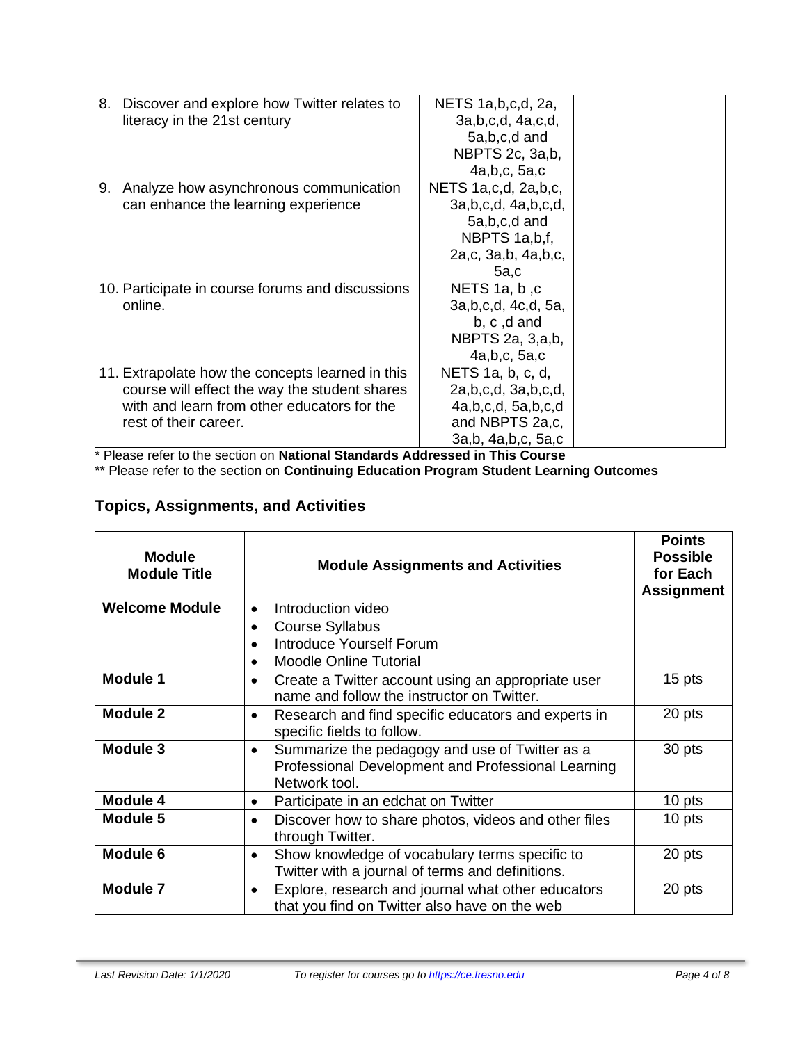| 8. | Discover and explore how Twitter relates to      | NETS 1a, b, c, d, 2a,     |  |
|----|--------------------------------------------------|---------------------------|--|
|    | literacy in the 21st century                     | 3a, b, c, d, 4a, c, d,    |  |
|    |                                                  | 5a,b,c,d and              |  |
|    |                                                  | NBPTS 2c, 3a,b,           |  |
|    |                                                  | 4a, b, c, 5a, c           |  |
| 9. | Analyze how asynchronous communication           | NETS 1a,c,d, 2a,b,c,      |  |
|    | can enhance the learning experience              | 3a, b, c, d, 4a, b, c, d, |  |
|    |                                                  | 5a,b,c,d and              |  |
|    |                                                  | NBPTS 1a,b,f,             |  |
|    |                                                  | 2a,c, 3a,b, 4a,b,c,       |  |
|    |                                                  | 5a,c                      |  |
|    | 10. Participate in course forums and discussions | NETS 1a, b, c             |  |
|    | online.                                          | 3a, b, c, d, 4c, d, 5a,   |  |
|    |                                                  | b, c, d and               |  |
|    |                                                  | NBPTS 2a, 3, a, b,        |  |
|    |                                                  | 4a,b,c,5a,c               |  |
|    | 11. Extrapolate how the concepts learned in this | NETS $1a, b, c, d$        |  |
|    | course will effect the way the student shares    | 2a, b, c, d, 3a, b, c, d, |  |
|    | with and learn from other educators for the      | 4a,b,c,d,5a,b,c,d         |  |
|    | rest of their career.                            | and NBPTS 2a,c,           |  |
|    |                                                  | 3a,b, 4a,b,c, 5a,c        |  |
|    |                                                  |                           |  |

\* Please refer to the section on **National Standards Addressed in This Course**

\*\* Please refer to the section on **Continuing Education Program Student Learning Outcomes**

# **Topics, Assignments, and Activities**

| <b>Module</b><br><b>Module Title</b> | <b>Module Assignments and Activities</b>                                                                              | <b>Points</b><br><b>Possible</b><br>for Each<br><b>Assignment</b> |
|--------------------------------------|-----------------------------------------------------------------------------------------------------------------------|-------------------------------------------------------------------|
| <b>Welcome Module</b>                | Introduction video                                                                                                    |                                                                   |
|                                      | <b>Course Syllabus</b>                                                                                                |                                                                   |
|                                      | Introduce Yourself Forum                                                                                              |                                                                   |
|                                      | <b>Moodle Online Tutorial</b>                                                                                         |                                                                   |
| <b>Module 1</b>                      | Create a Twitter account using an appropriate user<br>name and follow the instructor on Twitter.                      | 15 pts                                                            |
| <b>Module 2</b>                      | Research and find specific educators and experts in<br>$\bullet$<br>specific fields to follow.                        | 20 pts                                                            |
| Module 3                             | Summarize the pedagogy and use of Twitter as a<br>Professional Development and Professional Learning<br>Network tool. | 30 pts                                                            |
| <b>Module 4</b>                      | Participate in an edchat on Twitter                                                                                   | 10 pts                                                            |
| <b>Module 5</b>                      | Discover how to share photos, videos and other files<br>٠<br>through Twitter.                                         | 10 pts                                                            |
| Module 6                             | Show knowledge of vocabulary terms specific to<br>٠<br>Twitter with a journal of terms and definitions.               |                                                                   |
| <b>Module 7</b>                      | Explore, research and journal what other educators<br>$\bullet$<br>that you find on Twitter also have on the web      | 20 pts                                                            |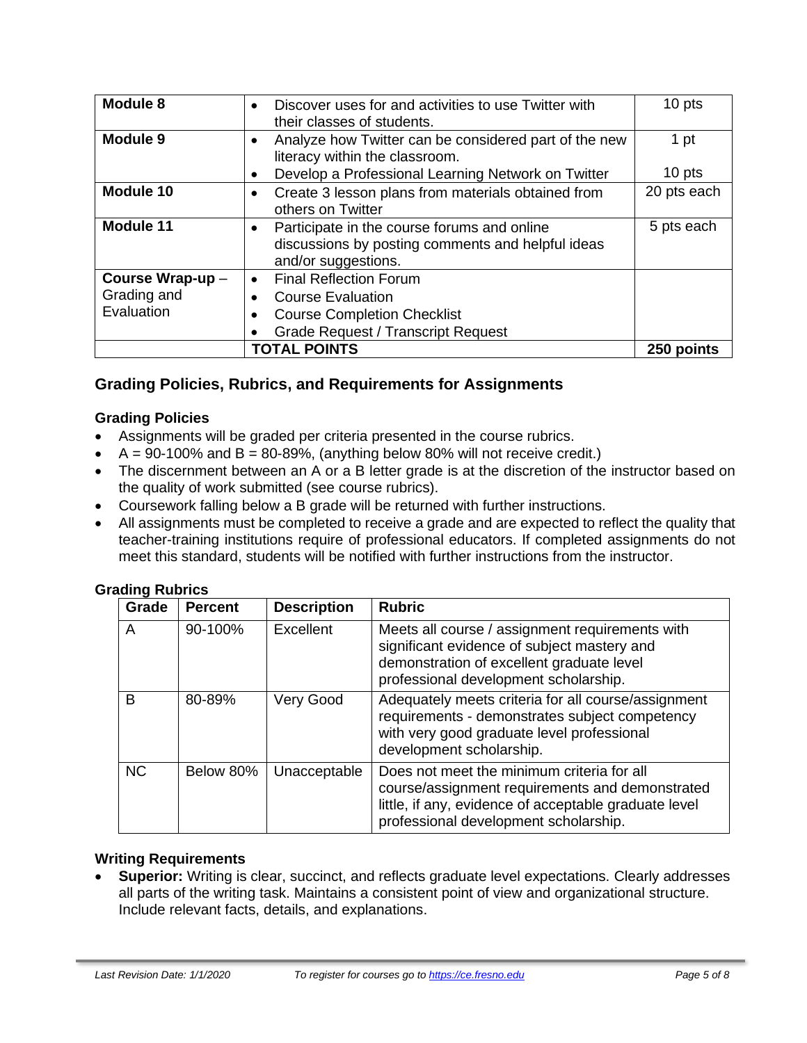| Module 8         | Discover uses for and activities to use Twitter with<br>$\bullet$<br>their classes of students.                                      | 10 pts      |
|------------------|--------------------------------------------------------------------------------------------------------------------------------------|-------------|
| Module 9         | Analyze how Twitter can be considered part of the new<br>literacy within the classroom.                                              |             |
|                  | Develop a Professional Learning Network on Twitter                                                                                   | 10 pts      |
| Module 10        | Create 3 lesson plans from materials obtained from<br>$\bullet$<br>others on Twitter                                                 | 20 pts each |
| <b>Module 11</b> | Participate in the course forums and online<br>$\bullet$<br>discussions by posting comments and helpful ideas<br>and/or suggestions. | 5 pts each  |
| Course Wrap-up - | <b>Final Reflection Forum</b><br>$\bullet$                                                                                           |             |
| Grading and      | <b>Course Evaluation</b>                                                                                                             |             |
| Evaluation       | <b>Course Completion Checklist</b>                                                                                                   |             |
|                  | <b>Grade Request / Transcript Request</b>                                                                                            |             |
|                  | <b>TOTAL POINTS</b>                                                                                                                  | 250 points  |

# **Grading Policies, Rubrics, and Requirements for Assignments**

#### **Grading Policies**

- Assignments will be graded per criteria presented in the course rubrics.
- $A = 90-100\%$  and  $B = 80-89\%$ , (anything below 80% will not receive credit.)
- The discernment between an A or a B letter grade is at the discretion of the instructor based on the quality of work submitted (see course rubrics).
- Coursework falling below a B grade will be returned with further instructions.
- All assignments must be completed to receive a grade and are expected to reflect the quality that teacher-training institutions require of professional educators. If completed assignments do not meet this standard, students will be notified with further instructions from the instructor.

#### **Grading Rubrics**

| - סייכ<br>Grade | <b>Percent</b> | <b>Description</b> | <b>Rubric</b>                                                                                                                                                                                   |
|-----------------|----------------|--------------------|-------------------------------------------------------------------------------------------------------------------------------------------------------------------------------------------------|
| A               | 90-100%        | Excellent          | Meets all course / assignment requirements with<br>significant evidence of subject mastery and<br>demonstration of excellent graduate level<br>professional development scholarship.            |
| B               | 80-89%         | Very Good          | Adequately meets criteria for all course/assignment<br>requirements - demonstrates subject competency<br>with very good graduate level professional<br>development scholarship.                 |
| <b>NC</b>       | Below 80%      | Unacceptable       | Does not meet the minimum criteria for all<br>course/assignment requirements and demonstrated<br>little, if any, evidence of acceptable graduate level<br>professional development scholarship. |

#### **Writing Requirements**

• **Superior:** Writing is clear, succinct, and reflects graduate level expectations. Clearly addresses all parts of the writing task. Maintains a consistent point of view and organizational structure. Include relevant facts, details, and explanations.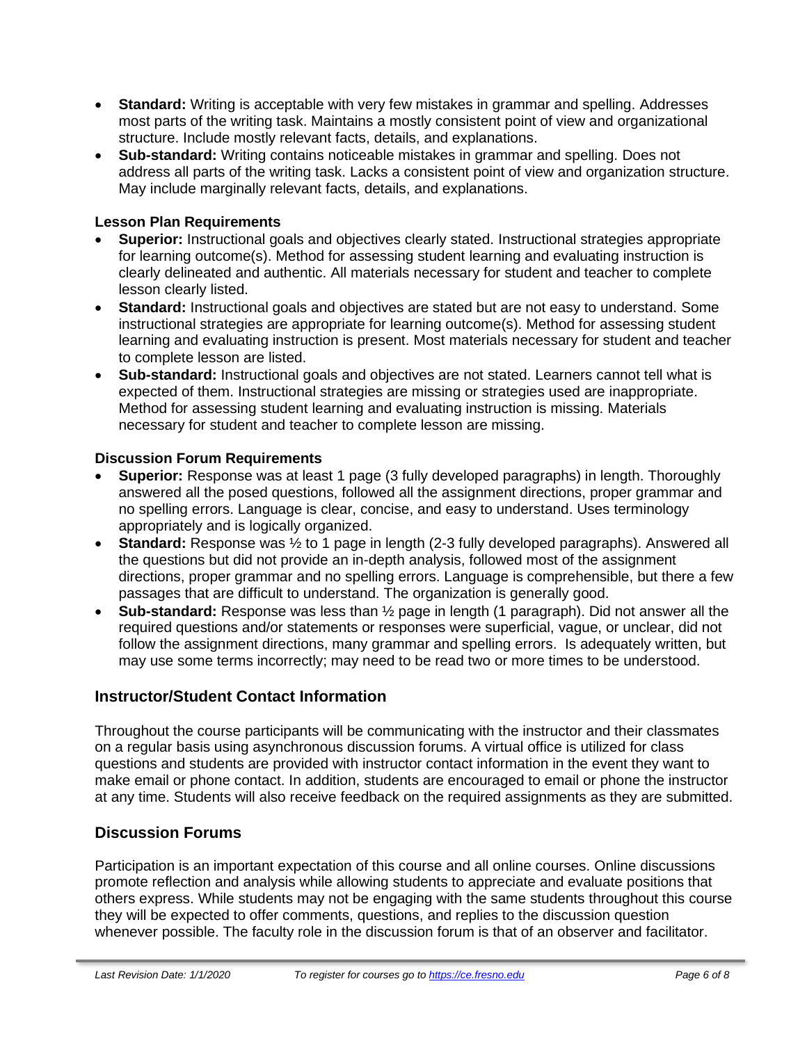- **Standard:** Writing is acceptable with very few mistakes in grammar and spelling. Addresses most parts of the writing task. Maintains a mostly consistent point of view and organizational structure. Include mostly relevant facts, details, and explanations.
- **Sub-standard:** Writing contains noticeable mistakes in grammar and spelling. Does not address all parts of the writing task. Lacks a consistent point of view and organization structure. May include marginally relevant facts, details, and explanations.

#### **Lesson Plan Requirements**

- **Superior:** Instructional goals and objectives clearly stated. Instructional strategies appropriate for learning outcome(s). Method for assessing student learning and evaluating instruction is clearly delineated and authentic. All materials necessary for student and teacher to complete lesson clearly listed.
- **Standard:** Instructional goals and objectives are stated but are not easy to understand. Some instructional strategies are appropriate for learning outcome(s). Method for assessing student learning and evaluating instruction is present. Most materials necessary for student and teacher to complete lesson are listed.
- **Sub-standard:** Instructional goals and objectives are not stated. Learners cannot tell what is expected of them. Instructional strategies are missing or strategies used are inappropriate. Method for assessing student learning and evaluating instruction is missing. Materials necessary for student and teacher to complete lesson are missing.

#### **Discussion Forum Requirements**

- **Superior:** Response was at least 1 page (3 fully developed paragraphs) in length. Thoroughly answered all the posed questions, followed all the assignment directions, proper grammar and no spelling errors. Language is clear, concise, and easy to understand. Uses terminology appropriately and is logically organized.
- **Standard:** Response was  $\frac{1}{2}$  to 1 page in length (2-3 fully developed paragraphs). Answered all the questions but did not provide an in-depth analysis, followed most of the assignment directions, proper grammar and no spelling errors. Language is comprehensible, but there a few passages that are difficult to understand. The organization is generally good.
- **Sub-standard:** Response was less than ½ page in length (1 paragraph). Did not answer all the required questions and/or statements or responses were superficial, vague, or unclear, did not follow the assignment directions, many grammar and spelling errors. Is adequately written, but may use some terms incorrectly; may need to be read two or more times to be understood.

# **Instructor/Student Contact Information**

Throughout the course participants will be communicating with the instructor and their classmates on a regular basis using asynchronous discussion forums. A virtual office is utilized for class questions and students are provided with instructor contact information in the event they want to make email or phone contact. In addition, students are encouraged to email or phone the instructor at any time. Students will also receive feedback on the required assignments as they are submitted.

# **Discussion Forums**

Participation is an important expectation of this course and all online courses. Online discussions promote reflection and analysis while allowing students to appreciate and evaluate positions that others express. While students may not be engaging with the same students throughout this course they will be expected to offer comments, questions, and replies to the discussion question whenever possible. The faculty role in the discussion forum is that of an observer and facilitator.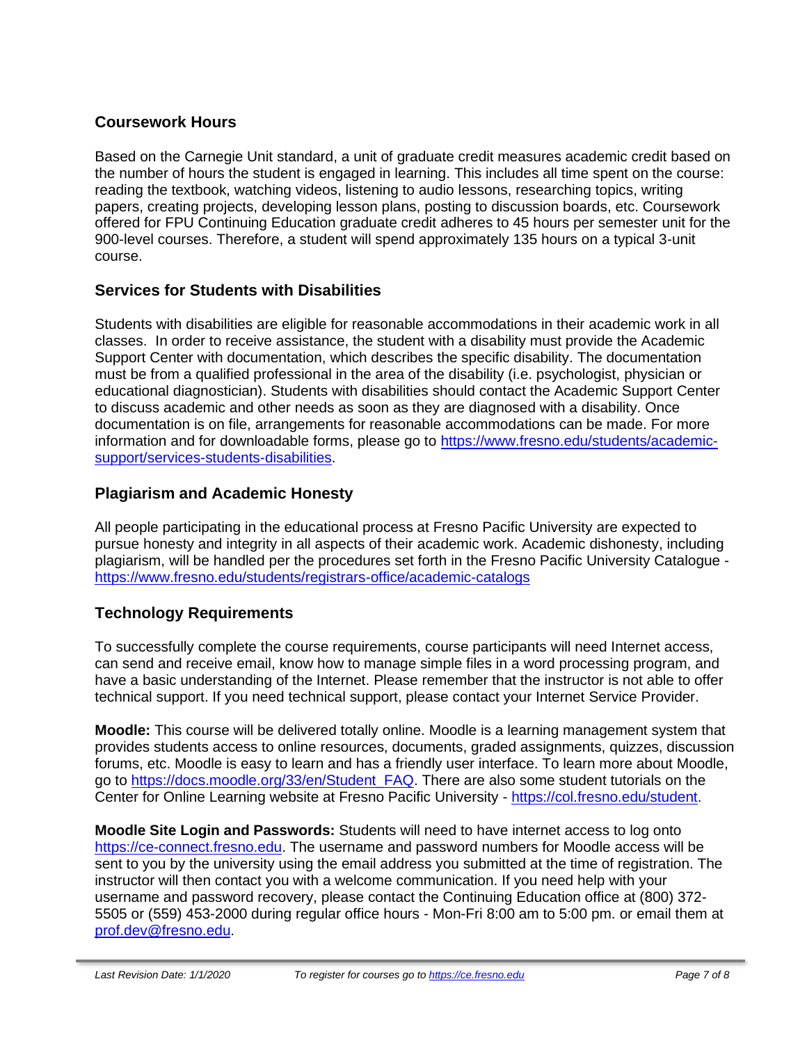# **Coursework Hours**

Based on the Carnegie Unit standard, a unit of graduate credit measures academic credit based on the number of hours the student is engaged in learning. This includes all time spent on the course: reading the textbook, watching videos, listening to audio lessons, researching topics, writing papers, creating projects, developing lesson plans, posting to discussion boards, etc. Coursework offered for FPU Continuing Education graduate credit adheres to 45 hours per semester unit for the 900-level courses. Therefore, a student will spend approximately 135 hours on a typical 3-unit course.

# **Services for Students with Disabilities**

Students with disabilities are eligible for reasonable accommodations in their academic work in all classes. In order to receive assistance, the student with a disability must provide the Academic Support Center with documentation, which describes the specific disability. The documentation must be from a qualified professional in the area of the disability (i.e. psychologist, physician or educational diagnostician). Students with disabilities should contact the Academic Support Center to discuss academic and other needs as soon as they are diagnosed with a disability. Once documentation is on file, arrangements for reasonable accommodations can be made. For more information and for downloadable forms, please go to [https://www.fresno.edu/students/academic](https://www.fresno.edu/students/academic-support/services-students-disabilities)[support/services-students-disabilities.](https://www.fresno.edu/students/academic-support/services-students-disabilities)

# **Plagiarism and Academic Honesty**

All people participating in the educational process at Fresno Pacific University are expected to pursue honesty and integrity in all aspects of their academic work. Academic dishonesty, including plagiarism, will be handled per the procedures set forth in the Fresno Pacific University Catalogue <https://www.fresno.edu/students/registrars-office/academic-catalogs>

# **Technology Requirements**

To successfully complete the course requirements, course participants will need Internet access, can send and receive email, know how to manage simple files in a word processing program, and have a basic understanding of the Internet. Please remember that the instructor is not able to offer technical support. If you need technical support, please contact your Internet Service Provider.

**Moodle:** This course will be delivered totally online. Moodle is a learning management system that provides students access to online resources, documents, graded assignments, quizzes, discussion forums, etc. Moodle is easy to learn and has a friendly user interface. To learn more about Moodle, go to [https://docs.moodle.org/33/en/Student\\_FAQ.](https://docs.moodle.org/33/en/Student_FAQ) There are also some student tutorials on the Center for Online Learning website at Fresno Pacific University - [https://col.fresno.edu/student.](https://col.fresno.edu/student)

**Moodle Site Login and Passwords:** Students will need to have internet access to log onto [https://ce-connect.fresno.edu.](https://ce-connect.fresno.edu/) The username and password numbers for Moodle access will be sent to you by the university using the email address you submitted at the time of registration. The instructor will then contact you with a welcome communication. If you need help with your username and password recovery, please contact the Continuing Education office at (800) 372- 5505 or (559) 453-2000 during regular office hours - Mon-Fri 8:00 am to 5:00 pm. or email them at [prof.dev@fresno.edu.](mailto:prof.dev@fresno.edu)